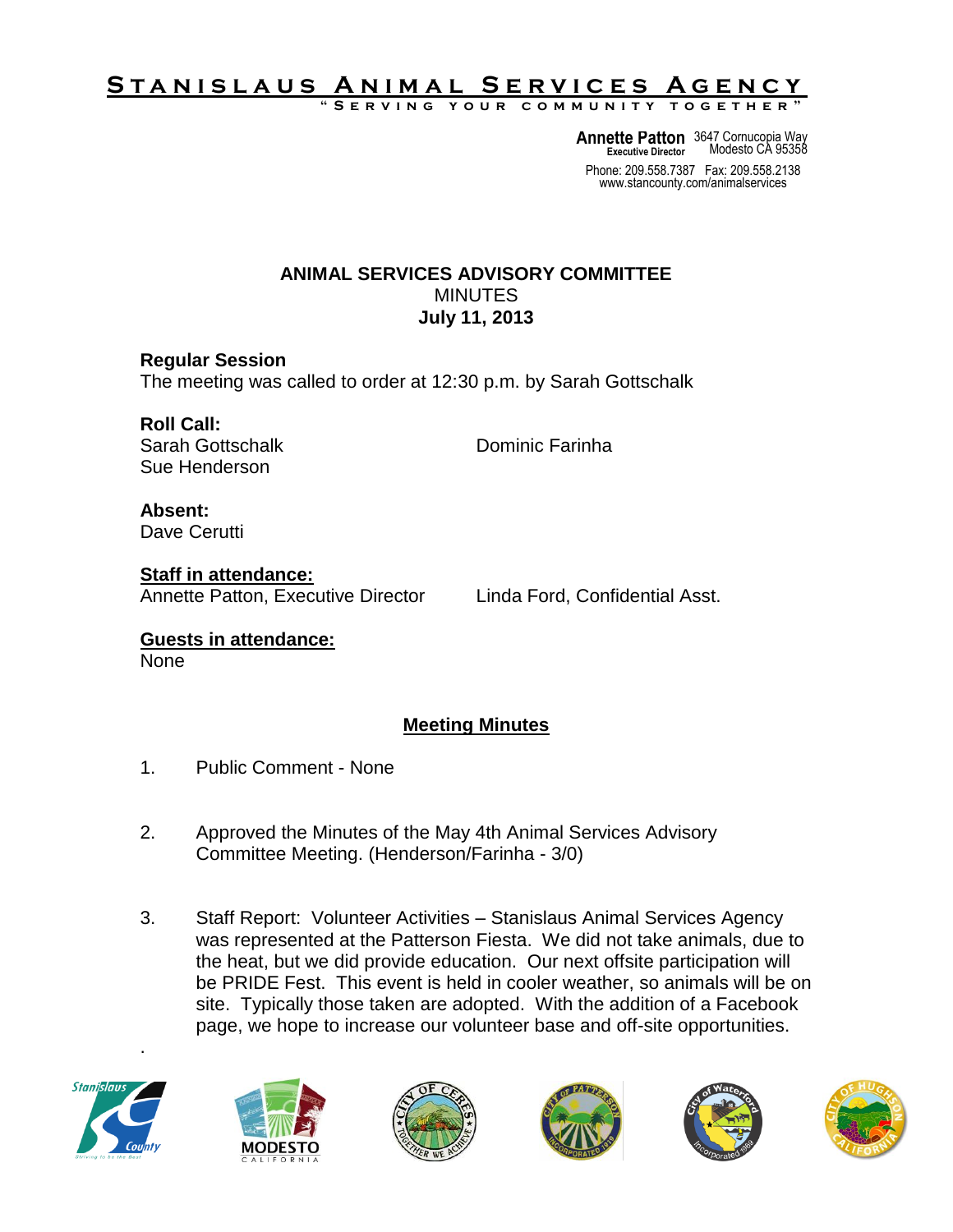## S T A N <u>I S L A U S A N I M A L SERVICES A GENCY</u>

**" S e r v i n g y o u r c o m m u n i t y t o g e t h e r "**

**Annette Patton** 3647 Cornucopia Way **Executive Director** Modesto CA 95358

Phone: 209.558.7387 Fax: 209.558.2138 www.stancounty.com/animalservices

## **ANIMAL SERVICES ADVISORY COMMITTEE** MINUTES **July 11, 2013**

**Regular Session** The meeting was called to order at 12:30 p.m. by Sarah Gottschalk

**Roll Call:** Sarah Gottschalk **Dominic Farinha** Sue Henderson

**Absent:** Dave Cerutti

**Staff in attendance:** Annette Patton, Executive Director Linda Ford, Confidential Asst.

**Guests in attendance:** None

## **Meeting Minutes**

- 1. Public Comment None
- 2. Approved the Minutes of the May 4th Animal Services Advisory Committee Meeting. (Henderson/Farinha - 3/0)
- 3. Staff Report: Volunteer Activities Stanislaus Animal Services Agency was represented at the Patterson Fiesta. We did not take animals, due to the heat, but we did provide education. Our next offsite participation will be PRIDE Fest. This event is held in cooler weather, so animals will be on site. Typically those taken are adopted. With the addition of a Facebook page, we hope to increase our volunteer base and off-site opportunities.



.